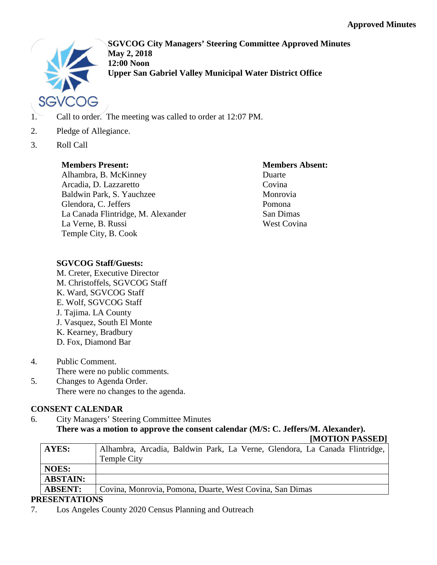#### **Approved Minutes**



**SGVCOG City Managers' Steering Committee Approved Minutes May 2, 2018 12:00 Noon Upper San Gabriel Valley Municipal Water District Office**

- 1. Call to order. The meeting was called to order at 12:07 PM.
- 2. Pledge of Allegiance.
- 3. Roll Call

#### **Members Present:**

Alhambra, B. McKinney Arcadia, D. Lazzaretto Baldwin Park, S. Yauchzee Glendora, C. Jeffers La Canada Flintridge, M. Alexander La Verne, B. Russi Temple City, B. Cook

**Members Absent:**

Duarte Covina Monrovia Pomona San Dimas West Covina

#### **SGVCOG Staff/Guests:**

M. Creter, Executive Director M. Christoffels, SGVCOG Staff K. Ward, SGVCOG Staff E. Wolf, SGVCOG Staff J. Tajima. LA County J. Vasquez, South El Monte K. Kearney, Bradbury D. Fox, Diamond Bar

- 4. Public Comment. There were no public comments.
- 5. Changes to Agenda Order. There were no changes to the agenda.

## **CONSENT CALENDAR**

6. City Managers' Steering Committee Minutes **There was a motion to approve the consent calendar (M/S: C. Jeffers/M. Alexander).**

**[MOTION PASSED]**

| AYES:           | Alhambra, Arcadia, Baldwin Park, La Verne, Glendora, La Canada Flintridge, |
|-----------------|----------------------------------------------------------------------------|
|                 | Temple City                                                                |
| <b>NOES:</b>    |                                                                            |
| <b>ABSTAIN:</b> |                                                                            |
| <b>ABSENT:</b>  | Covina, Monrovia, Pomona, Duarte, West Covina, San Dimas                   |
|                 |                                                                            |

## **PRESENTATIONS**

7. Los Angeles County 2020 Census Planning and Outreach